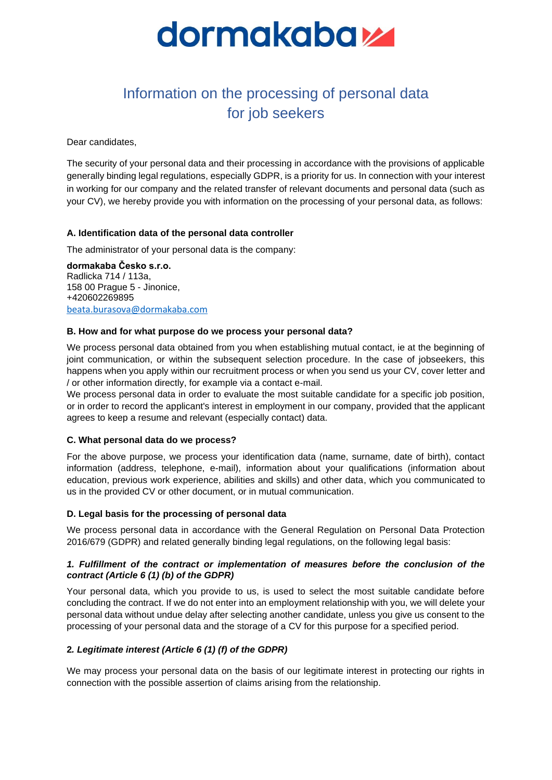

# Information on the processing of personal data for job seekers

Dear candidates,

The security of your personal data and their processing in accordance with the provisions of applicable generally binding legal regulations, especially GDPR, is a priority for us. In connection with your interest in working for our company and the related transfer of relevant documents and personal data (such as your CV), we hereby provide you with information on the processing of your personal data, as follows:

### **A. Identification data of the personal data controller**

The administrator of your personal data is the company:

**dormakaba Česko s.r.o.** Radlicka 714 / 113a, 158 00 Prague 5 - Jinonice, +420602269895 [beata.burasova@dormakaba.com](mailto:beata.burasova@dormakaba.com)

### **B. How and for what purpose do we process your personal data?**

We process personal data obtained from you when establishing mutual contact, ie at the beginning of joint communication, or within the subsequent selection procedure. In the case of jobseekers, this happens when you apply within our recruitment process or when you send us your CV, cover letter and / or other information directly, for example via a contact e-mail.

We process personal data in order to evaluate the most suitable candidate for a specific job position, or in order to record the applicant's interest in employment in our company, provided that the applicant agrees to keep a resume and relevant (especially contact) data.

#### **C. What personal data do we process?**

For the above purpose, we process your identification data (name, surname, date of birth), contact information (address, telephone, e-mail), information about your qualifications (information about education, previous work experience, abilities and skills) and other data, which you communicated to us in the provided CV or other document, or in mutual communication.

#### **D. Legal basis for the processing of personal data**

We process personal data in accordance with the General Regulation on Personal Data Protection 2016/679 (GDPR) and related generally binding legal regulations, on the following legal basis:

# *1. Fulfillment of the contract or implementation of measures before the conclusion of the contract (Article 6 (1) (b) of the GDPR)*

Your personal data, which you provide to us, is used to select the most suitable candidate before concluding the contract. If we do not enter into an employment relationship with you, we will delete your personal data without undue delay after selecting another candidate, unless you give us consent to the processing of your personal data and the storage of a CV for this purpose for a specified period.

# **2***. Legitimate interest (Article 6 (1) (f) of the GDPR)*

We may process your personal data on the basis of our legitimate interest in protecting our rights in connection with the possible assertion of claims arising from the relationship.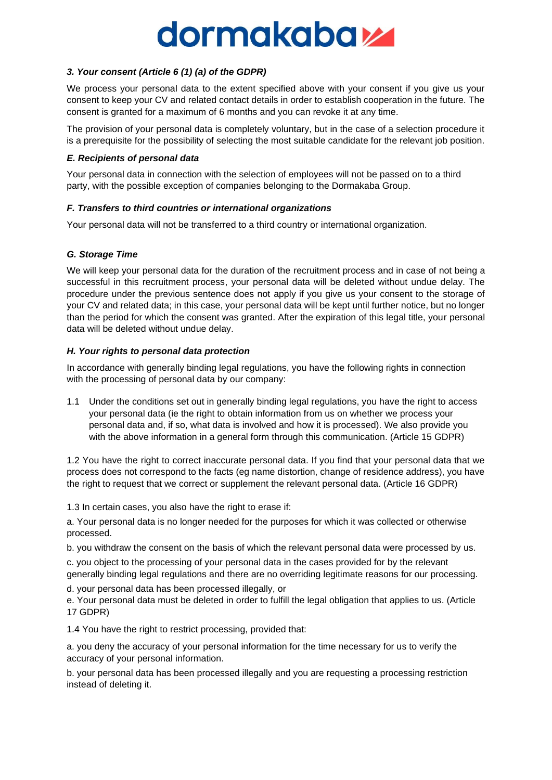# dormakabay

# *3. Your consent (Article 6 (1) (a) of the GDPR)*

We process your personal data to the extent specified above with your consent if you give us your consent to keep your CV and related contact details in order to establish cooperation in the future. The consent is granted for a maximum of 6 months and you can revoke it at any time.

The provision of your personal data is completely voluntary, but in the case of a selection procedure it is a prerequisite for the possibility of selecting the most suitable candidate for the relevant job position.

#### *E. Recipients of personal data*

Your personal data in connection with the selection of employees will not be passed on to a third party, with the possible exception of companies belonging to the Dormakaba Group.

### *F. Transfers to third countries or international organizations*

Your personal data will not be transferred to a third country or international organization.

# *G. Storage Time*

We will keep your personal data for the duration of the recruitment process and in case of not being a successful in this recruitment process, your personal data will be deleted without undue delay. The procedure under the previous sentence does not apply if you give us your consent to the storage of your CV and related data; in this case, your personal data will be kept until further notice, but no longer than the period for which the consent was granted. After the expiration of this legal title, your personal data will be deleted without undue delay.

### *H. Your rights to personal data protection*

In accordance with generally binding legal regulations, you have the following rights in connection with the processing of personal data by our company:

1.1 Under the conditions set out in generally binding legal regulations, you have the right to access your personal data (ie the right to obtain information from us on whether we process your personal data and, if so, what data is involved and how it is processed). We also provide you with the above information in a general form through this communication. (Article 15 GDPR)

1.2 You have the right to correct inaccurate personal data. If you find that your personal data that we process does not correspond to the facts (eg name distortion, change of residence address), you have the right to request that we correct or supplement the relevant personal data. (Article 16 GDPR)

1.3 In certain cases, you also have the right to erase if:

a. Your personal data is no longer needed for the purposes for which it was collected or otherwise processed.

b. you withdraw the consent on the basis of which the relevant personal data were processed by us.

c. you object to the processing of your personal data in the cases provided for by the relevant generally binding legal regulations and there are no overriding legitimate reasons for our processing.

d. your personal data has been processed illegally, or

e. Your personal data must be deleted in order to fulfill the legal obligation that applies to us. (Article 17 GDPR)

1.4 You have the right to restrict processing, provided that:

a. you deny the accuracy of your personal information for the time necessary for us to verify the accuracy of your personal information.

b. your personal data has been processed illegally and you are requesting a processing restriction instead of deleting it.